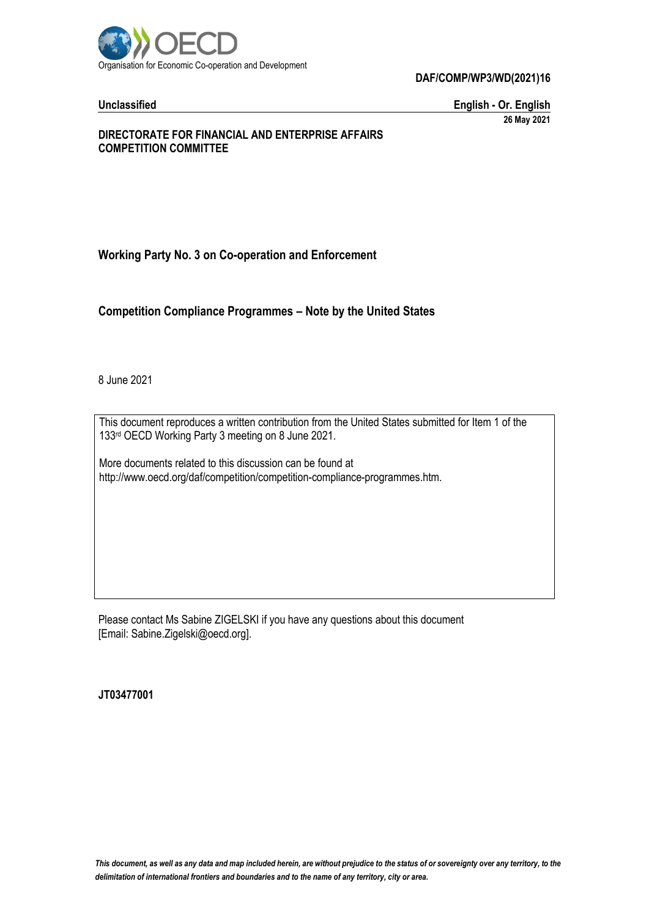

**Unclassified English - Or. English 26 May 2021**

#### **DIRECTORATE FOR FINANCIAL AND ENTERPRISE AFFAIRS COMPETITION COMMITTEE**

# **Working Party No. 3 on Co-operation and Enforcement**

**Competition Compliance Programmes – Note by the United States**

8 June 2021

This document reproduces a written contribution from the United States submitted for Item 1 of the 133rd OECD Working Party 3 meeting on 8 June 2021.

More documents related to this discussion can be found at http://www.oecd.org/daf/competition/competition-compliance-programmes.htm.

Please contact Ms Sabine ZIGELSKI if you have any questions about this document [Email: Sabine.Zigelski@oecd.org].

**JT03477001**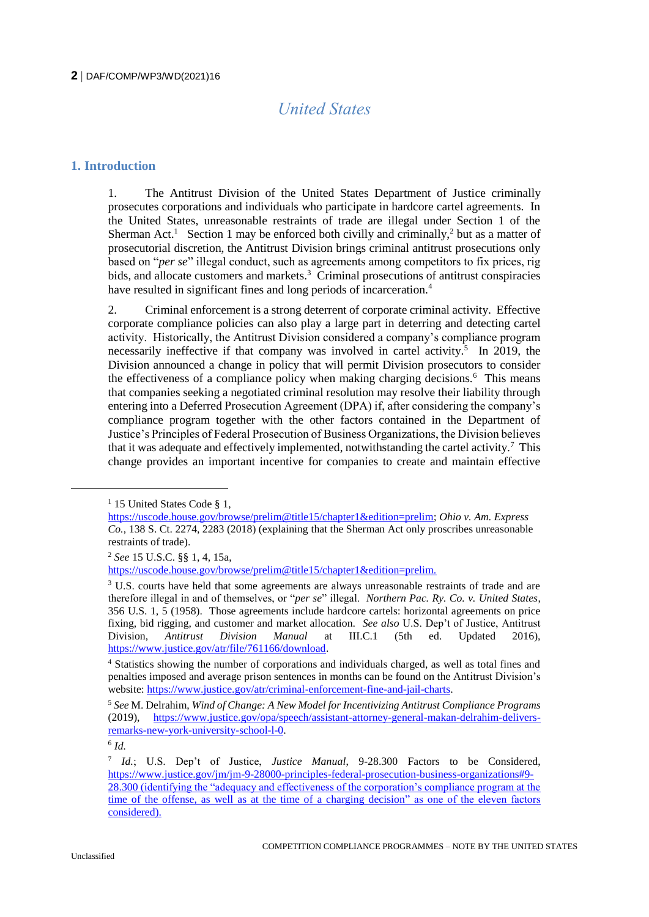# *United States*

# **1. Introduction**

1. The Antitrust Division of the United States Department of Justice criminally prosecutes corporations and individuals who participate in hardcore cartel agreements. In the United States, unreasonable restraints of trade are illegal under Section 1 of the Sherman Act.<sup>1</sup> Section 1 may be enforced both civilly and criminally,<sup>2</sup> but as a matter of prosecutorial discretion, the Antitrust Division brings criminal antitrust prosecutions only based on "*per se*" illegal conduct, such as agreements among competitors to fix prices, rig bids, and allocate customers and markets.<sup>3</sup> Criminal prosecutions of antitrust conspiracies have resulted in significant fines and long periods of incarceration.<sup>4</sup>

2. Criminal enforcement is a strong deterrent of corporate criminal activity. Effective corporate compliance policies can also play a large part in deterring and detecting cartel activity. Historically, the Antitrust Division considered a company's compliance program necessarily ineffective if that company was involved in cartel activity.<sup>5</sup> In 2019, the Division announced a change in policy that will permit Division prosecutors to consider the effectiveness of a compliance policy when making charging decisions.<sup>6</sup> This means that companies seeking a negotiated criminal resolution may resolve their liability through entering into a Deferred Prosecution Agreement (DPA) if, after considering the company's compliance program together with the other factors contained in the Department of Justice's Principles of Federal Prosecution of Business Organizations, the Division believes that it was adequate and effectively implemented, notwithstanding the cartel activity.<sup>7</sup> This change provides an important incentive for companies to create and maintain effective

<sup>&</sup>lt;sup>1</sup> 15 United States Code § 1,

[https://uscode.house.gov/browse/prelim@title15/chapter1&edition=prelim;](https://uscode.house.gov/browse/prelim@title15/chapter1&edition=prelim) *Ohio v. Am. Express Co.*, 138 S. Ct. 2274, 2283 (2018) (explaining that the Sherman Act only proscribes unreasonable restraints of trade).

<sup>2</sup> *See* 15 U.S.C. §§ 1, 4, 15a,

[https://uscode.house.gov/browse/prelim@title15/chapter1&edition=prelim.](https://uscode.house.gov/browse/prelim@title15/chapter1&edition=prelim)

<sup>&</sup>lt;sup>3</sup> U.S. courts have held that some agreements are always unreasonable restraints of trade and are therefore illegal in and of themselves, or "*per se*" illegal. *Northern Pac. Ry. Co. v. United States*, 356 U.S. 1, 5 (1958). Those agreements include hardcore cartels: horizontal agreements on price fixing, bid rigging, and customer and market allocation. *See also* U.S. Dep't of Justice, Antitrust Division, *Antitrust Division Manual* at III.C.1 (5th ed. Updated 2016), [https://www.justice.gov/atr/file/761166/download.](https://www.justice.gov/atr/file/761166/download)

<sup>4</sup> Statistics showing the number of corporations and individuals charged, as well as total fines and penalties imposed and average prison sentences in months can be found on the Antitrust Division's website: [https://www.justice.gov/atr/criminal-enforcement-fine-and-jail-charts.](https://www.justice.gov/atr/criminal-enforcement-fine-and-jail-charts) 

<sup>5</sup> *See* M. Delrahim, *Wind of Change: A New Model for Incentivizing Antitrust Compliance Programs* (2019), [https://www.justice.gov/opa/speech/assistant-attorney-general-makan-delrahim-delivers](https://www.justice.gov/opa/speech/assistant-attorney-general-makan-delrahim-delivers-remarks-new-york-university-school-l-0)[remarks-new-york-university-school-l-0.](https://www.justice.gov/opa/speech/assistant-attorney-general-makan-delrahim-delivers-remarks-new-york-university-school-l-0) 

<sup>6</sup> *Id.*

<sup>7</sup> *Id.*; U.S. Dep't of Justice, *Justice Manual*, 9-28.300 Factors to be Considered, [https://www.justice.gov/jm/jm-9-28000-principles-federal-prosecution-business-organizations#9-](https://www.justice.gov/jm/jm-9-28000-principles-federal-prosecution-business-organizations#9-28.300) [28.300](https://www.justice.gov/jm/jm-9-28000-principles-federal-prosecution-business-organizations#9-28.300) (identifying the "adequacy and effectiveness of the corporation's compliance program at the time of the offense, as well as at the time of a charging decision" as one of the eleven factors considered).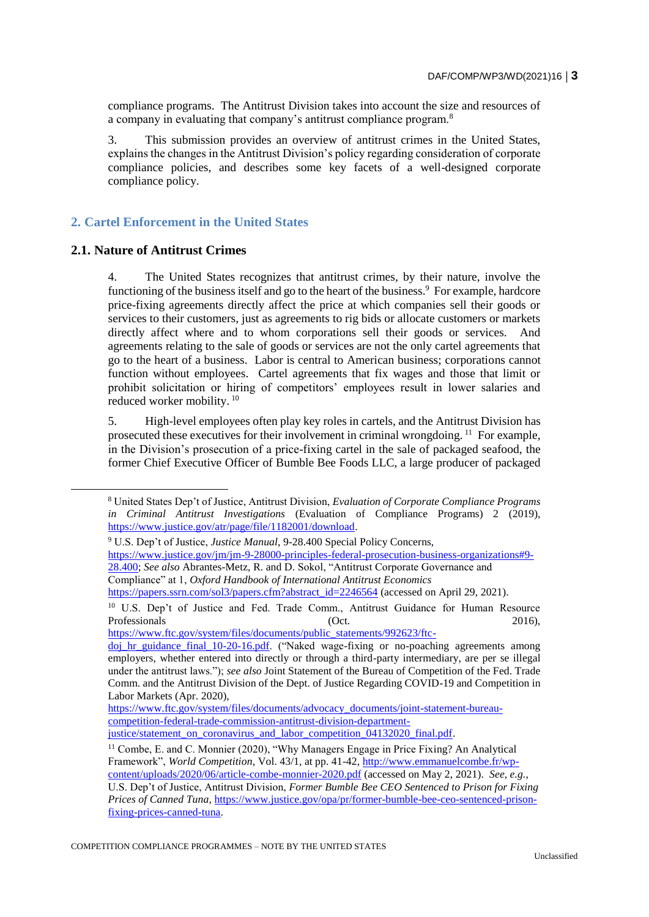compliance programs. The Antitrust Division takes into account the size and resources of a company in evaluating that company's antitrust compliance program.<sup>8</sup>

3. This submission provides an overview of antitrust crimes in the United States, explains the changes in the Antitrust Division's policy regarding consideration of corporate compliance policies, and describes some key facets of a well-designed corporate compliance policy.

# **2. Cartel Enforcement in the United States**

#### **2.1. Nature of Antitrust Crimes**

 $\overline{a}$ 

4. The United States recognizes that antitrust crimes, by their nature, involve the functioning of the business itself and go to the heart of the business.<sup>9</sup> For example, hardcore price-fixing agreements directly affect the price at which companies sell their goods or services to their customers, just as agreements to rig bids or allocate customers or markets directly affect where and to whom corporations sell their goods or services. And agreements relating to the sale of goods or services are not the only cartel agreements that go to the heart of a business. Labor is central to American business; corporations cannot function without employees. Cartel agreements that fix wages and those that limit or prohibit solicitation or hiring of competitors' employees result in lower salaries and reduced worker mobility. <sup>10</sup>

5. High-level employees often play key roles in cartels, and the Antitrust Division has prosecuted these executives for their involvement in criminal wrongdoing.<sup>11</sup> For example, in the Division's prosecution of a price-fixing cartel in the sale of packaged seafood, the former Chief Executive Officer of Bumble Bee Foods LLC, a large producer of packaged

[https://www.ftc.gov/system/files/documents/public\\_statements/992623/ftc-](https://www.ftc.gov/system/files/documents/public_statements/992623/ftc-doj_hr_guidance_final_10-20-16.pdf)

<sup>8</sup> United States Dep't of Justice, Antitrust Division, *Evaluation of Corporate Compliance Programs in Criminal Antitrust Investigations* (Evaluation of Compliance Programs) 2 (2019), [https://www.justice.gov/atr/page/file/1182001/download.](https://www.justice.gov/atr/page/file/1182001/download)

<sup>9</sup> U.S. Dep't of Justice, *Justice Manual*, 9-28.400 Special Policy Concerns, [https://www.justice.gov/jm/jm-9-28000-principles-federal-prosecution-business-organizations#9-](https://www.justice.gov/jm/jm-9-28000-principles-federal-prosecution-business-organizations#9-28.400) [28.400;](https://www.justice.gov/jm/jm-9-28000-principles-federal-prosecution-business-organizations#9-28.400) *See also* Abrantes-Metz, R. and D. Sokol, "Antitrust Corporate Governance and Compliance" at 1, *Oxford Handbook of International Antitrust Economics* [https://papers.ssrn.com/sol3/papers.cfm?abstract\\_id=2246564](https://papers.ssrn.com/sol3/papers.cfm?abstract_id=2246564) (accessed on April 29, 2021).

<sup>10</sup> U.S. Dep't of Justice and Fed. Trade Comm., Antitrust Guidance for Human Resource Professionals (Oct. 2016), 2016.

[doj\\_hr\\_guidance\\_final\\_10-20-16.pdf.](https://www.ftc.gov/system/files/documents/public_statements/992623/ftc-doj_hr_guidance_final_10-20-16.pdf) ("Naked wage-fixing or no-poaching agreements among employers, whether entered into directly or through a third-party intermediary, are per se illegal under the antitrust laws."); *see also* Joint Statement of the Bureau of Competition of the Fed. Trade Comm. and the Antitrust Division of the Dept. of Justice Regarding COVID-19 and Competition in Labor Markets (Apr. 2020),

[https://www.ftc.gov/system/files/documents/advocacy\\_documents/joint-statement-bureau](https://www.ftc.gov/system/files/documents/advocacy_documents/joint-statement-bureau-competition-federal-trade-commission-antitrust-division-department-justice/statement_on_coronavirus_and_labor_competition_04132020_final.pdf)[competition-federal-trade-commission-antitrust-division-department](https://www.ftc.gov/system/files/documents/advocacy_documents/joint-statement-bureau-competition-federal-trade-commission-antitrust-division-department-justice/statement_on_coronavirus_and_labor_competition_04132020_final.pdf)justice/statement\_on\_coronavirus\_and\_labor\_competition\_04132020\_final.pdf.

<sup>11</sup> Combe, E. and C. Monnier (2020), "Why Managers Engage in Price Fixing? An Analytical Framework", *World Competition*, Vol. 43/1, at pp. 41-42[, http://www.emmanuelcombe.fr/wp](http://www.emmanuelcombe.fr/wp-content/uploads/2020/06/article-combe-monnier-2020.pdf)[content/uploads/2020/06/article-combe-monnier-2020.pdf](http://www.emmanuelcombe.fr/wp-content/uploads/2020/06/article-combe-monnier-2020.pdf) (accessed on May 2, 2021). *See, e.g.*, U.S. Dep't of Justice, Antitrust Division, *Former Bumble Bee CEO Sentenced to Prison for Fixing Prices of Canned Tuna*[, https://www.justice.gov/opa/pr/former-bumble-bee-ceo-sentenced-prison](https://www.justice.gov/opa/pr/former-bumble-bee-ceo-sentenced-prison-fixing-prices-canned-tuna)[fixing-prices-canned-tuna.](https://www.justice.gov/opa/pr/former-bumble-bee-ceo-sentenced-prison-fixing-prices-canned-tuna)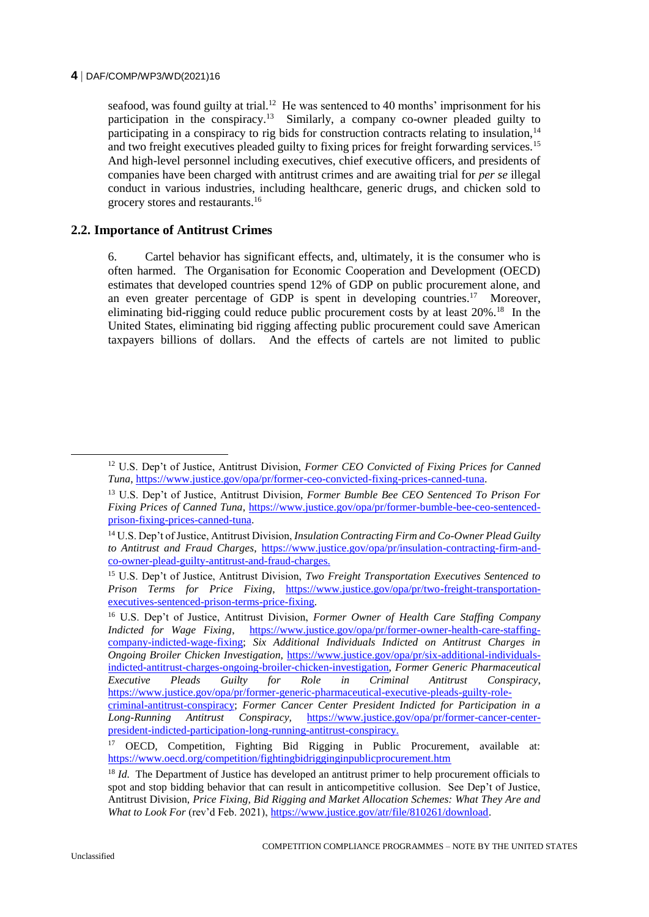seafood, was found guilty at trial.<sup>12</sup> He was sentenced to 40 months' imprisonment for his participation in the conspiracy.<sup>13</sup> Similarly, a company co-owner pleaded guilty to participating in a conspiracy to rig bids for construction contracts relating to insulation,<sup>14</sup> and two freight executives pleaded guilty to fixing prices for freight forwarding services.<sup>15</sup> And high-level personnel including executives, chief executive officers, and presidents of companies have been charged with antitrust crimes and are awaiting trial for *per se* illegal conduct in various industries, including healthcare, generic drugs, and chicken sold to grocery stores and restaurants.<sup>16</sup>

#### **2.2. Importance of Antitrust Crimes**

6. Cartel behavior has significant effects, and, ultimately, it is the consumer who is often harmed. The Organisation for Economic Cooperation and Development (OECD) estimates that developed countries spend 12% of GDP on public procurement alone, and an even greater percentage of GDP is spent in developing countries.<sup>17</sup> Moreover, eliminating bid-rigging could reduce public procurement costs by at least 20%.<sup>18</sup> In the United States, eliminating bid rigging affecting public procurement could save American taxpayers billions of dollars. And the effects of cartels are not limited to public

<sup>12</sup> U.S. Dep't of Justice, Antitrust Division, *Former CEO Convicted of Fixing Prices for Canned Tuna*, [https://www.justice.gov/opa/pr/former-ceo-convicted-fixing-prices-canned-tuna.](https://www.justice.gov/opa/pr/former-ceo-convicted-fixing-prices-canned-tuna)

<sup>13</sup> U.S. Dep't of Justice, Antitrust Division, *Former Bumble Bee CEO Sentenced To Prison For Fixing Prices of Canned Tuna*, [https://www.justice.gov/opa/pr/former-bumble-bee-ceo-sentenced](https://www.justice.gov/opa/pr/former-bumble-bee-ceo-sentenced-prison-fixing-prices-canned-tuna)[prison-fixing-prices-canned-tuna.](https://www.justice.gov/opa/pr/former-bumble-bee-ceo-sentenced-prison-fixing-prices-canned-tuna)

<sup>14</sup> U.S. Dep't of Justice, Antitrust Division, *Insulation Contracting Firm and Co-Owner Plead Guilty to Antitrust and Fraud Charges*, [https://www.justice.gov/opa/pr/insulation-contracting-firm-and](https://www.justice.gov/opa/pr/insulation-contracting-firm-and-co-owner-plead-guilty-antitrust-and-fraud-charges)[co-owner-plead-guilty-antitrust-and-fraud-charges.](https://www.justice.gov/opa/pr/insulation-contracting-firm-and-co-owner-plead-guilty-antitrust-and-fraud-charges)

<sup>15</sup> U.S. Dep't of Justice, Antitrust Division, *Two Freight Transportation Executives Sentenced to Prison Terms for Price Fixing*, [https://www.justice.gov/opa/pr/two-freight-transportation](https://www.justice.gov/opa/pr/two-freight-transportation-executives-sentenced-prison-terms-price-fixing)[executives-sentenced-prison-terms-price-fixing.](https://www.justice.gov/opa/pr/two-freight-transportation-executives-sentenced-prison-terms-price-fixing) 

<sup>16</sup> U.S. Dep't of Justice, Antitrust Division, *Former Owner of Health Care Staffing Company Indicted for Wage Fixing*, [https://www.justice.gov/opa/pr/former-owner-health-care-staffing](https://www.justice.gov/opa/pr/former-owner-health-care-staffing-company-indicted-wage-fixing)[company-indicted-wage-fixing;](https://www.justice.gov/opa/pr/former-owner-health-care-staffing-company-indicted-wage-fixing) *Six Additional Individuals Indicted on Antitrust Charges in Ongoing Broiler Chicken Investigation,* [https://www.justice.gov/opa/pr/six-additional-individuals](https://www.justice.gov/opa/pr/six-additional-individuals-indicted-antitrust-charges-ongoing-broiler-chicken-investigation)[indicted-antitrust-charges-ongoing-broiler-chicken-investigation,](https://www.justice.gov/opa/pr/six-additional-individuals-indicted-antitrust-charges-ongoing-broiler-chicken-investigation) *Former Generic Pharmaceutical Executive Pleads Guilty for Role in Criminal Antitrust Conspiracy*, [https://www.justice.gov/opa/pr/former-generic-pharmaceutical-executive-pleads-guilty-role-](https://www.justice.gov/opa/pr/former-generic-pharmaceutical-executive-pleads-guilty-role-criminal-antitrust-conspiracy)

[criminal-antitrust-conspiracy;](https://www.justice.gov/opa/pr/former-generic-pharmaceutical-executive-pleads-guilty-role-criminal-antitrust-conspiracy) *Former Cancer Center President Indicted for Participation in a Long-Running Antitrust Conspiracy,* [https://www.justice.gov/opa/pr/former-cancer-center](https://www.justice.gov/opa/pr/former-cancer-center-president-indicted-participation-long-running-antitrust-conspiracy)[president-indicted-participation-long-running-antitrust-conspiracy.](https://www.justice.gov/opa/pr/former-cancer-center-president-indicted-participation-long-running-antitrust-conspiracy)

<sup>17</sup> OECD, Competition, Fighting Bid Rigging in Public Procurement, available at: <https://www.oecd.org/competition/fightingbidrigginginpublicprocurement.htm>

<sup>&</sup>lt;sup>18</sup> *Id.* The Department of Justice has developed an antitrust primer to help procurement officials to spot and stop bidding behavior that can result in anticompetitive collusion. See Dep't of Justice, Antitrust Division, *Price Fixing, Bid Rigging and Market Allocation Schemes: What They Are and What to Look For* (rev'd Feb. 2021), https://www.justice.gov/atr/file/810261/download.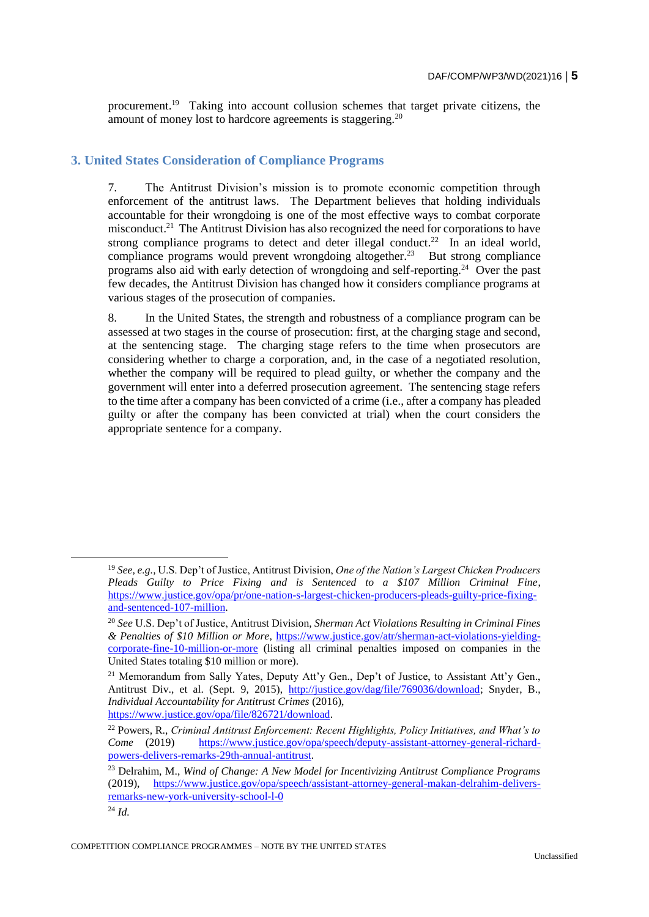procurement.<sup>19</sup> Taking into account collusion schemes that target private citizens, the amount of money lost to hardcore agreements is staggering.<sup>20</sup>

# **3. United States Consideration of Compliance Programs**

7. The Antitrust Division's mission is to promote economic competition through enforcement of the antitrust laws. The Department believes that holding individuals accountable for their wrongdoing is one of the most effective ways to combat corporate misconduct.<sup>21</sup> The Antitrust Division has also recognized the need for corporations to have strong compliance programs to detect and deter illegal conduct.<sup>22</sup> In an ideal world, compliance programs would prevent wrongdoing altogether.<sup>23</sup> But strong compliance programs also aid with early detection of wrongdoing and self-reporting.<sup>24</sup> Over the past few decades, the Antitrust Division has changed how it considers compliance programs at various stages of the prosecution of companies.

8. In the United States, the strength and robustness of a compliance program can be assessed at two stages in the course of prosecution: first, at the charging stage and second, at the sentencing stage. The charging stage refers to the time when prosecutors are considering whether to charge a corporation, and, in the case of a negotiated resolution, whether the company will be required to plead guilty, or whether the company and the government will enter into a deferred prosecution agreement. The sentencing stage refers to the time after a company has been convicted of a crime (i.e., after a company has pleaded guilty or after the company has been convicted at trial) when the court considers the appropriate sentence for a company.

<sup>19</sup> *See, e.g.,* U.S. Dep't of Justice, Antitrust Division, *One of the Nation's Largest Chicken Producers Pleads Guilty to Price Fixing and is Sentenced to a \$107 Million Criminal Fine*, [https://www.justice.gov/opa/pr/one-nation-s-largest-chicken-producers-pleads-guilty-price-fixing](https://www.justice.gov/opa/pr/one-nation-s-largest-chicken-producers-pleads-guilty-price-fixing-and-sentenced-107-million)[and-sentenced-107-million.](https://www.justice.gov/opa/pr/one-nation-s-largest-chicken-producers-pleads-guilty-price-fixing-and-sentenced-107-million)

<sup>20</sup> *See* U.S. Dep't of Justice, Antitrust Division, *Sherman Act Violations Resulting in Criminal Fines & Penalties of \$10 Million or More*, [https://www.justice.gov/atr/sherman-act-violations-yielding](https://www.justice.gov/atr/sherman-act-violations-yielding-corporate-fine-10-million-or-more)[corporate-fine-10-million-or-more](https://www.justice.gov/atr/sherman-act-violations-yielding-corporate-fine-10-million-or-more) (listing all criminal penalties imposed on companies in the United States totaling \$10 million or more).

<sup>&</sup>lt;sup>21</sup> Memorandum from Sally Yates, Deputy Att'y Gen., Dep't of Justice, to Assistant Att'y Gen., Antitrust Div., et al. (Sept. 9, 2015), [http://justice.gov/dag/file/769036/download;](http://justice.gov/dag/file/769036/download) Snyder, B., *Individual Accountability for Antitrust Crimes* (2016), [https://www.justice.gov/opa/file/826721/download.](https://www.justice.gov/opa/file/826721/download)

<sup>22</sup> Powers, R., *Criminal Antitrust Enforcement: Recent Highlights, Policy Initiatives, and What's to Come* (2019) [https://www.justice.gov/opa/speech/deputy-assistant-attorney-general-richard](https://www.justice.gov/opa/speech/deputy-assistant-attorney-general-richard-powers-delivers-remarks-29th-annual-antitrust)[powers-delivers-remarks-29th-annual-antitrust.](https://www.justice.gov/opa/speech/deputy-assistant-attorney-general-richard-powers-delivers-remarks-29th-annual-antitrust)

<sup>23</sup> Delrahim, M., *Wind of Change: A New Model for Incentivizing Antitrust Compliance Programs* (2019), [https://www.justice.gov/opa/speech/assistant-attorney-general-makan-delrahim-delivers](https://www.justice.gov/opa/speech/assistant-attorney-general-makan-delrahim-delivers-remarks-new-york-university-school-l-0)[remarks-new-york-university-school-l-0](https://www.justice.gov/opa/speech/assistant-attorney-general-makan-delrahim-delivers-remarks-new-york-university-school-l-0)

<sup>24</sup> *Id.*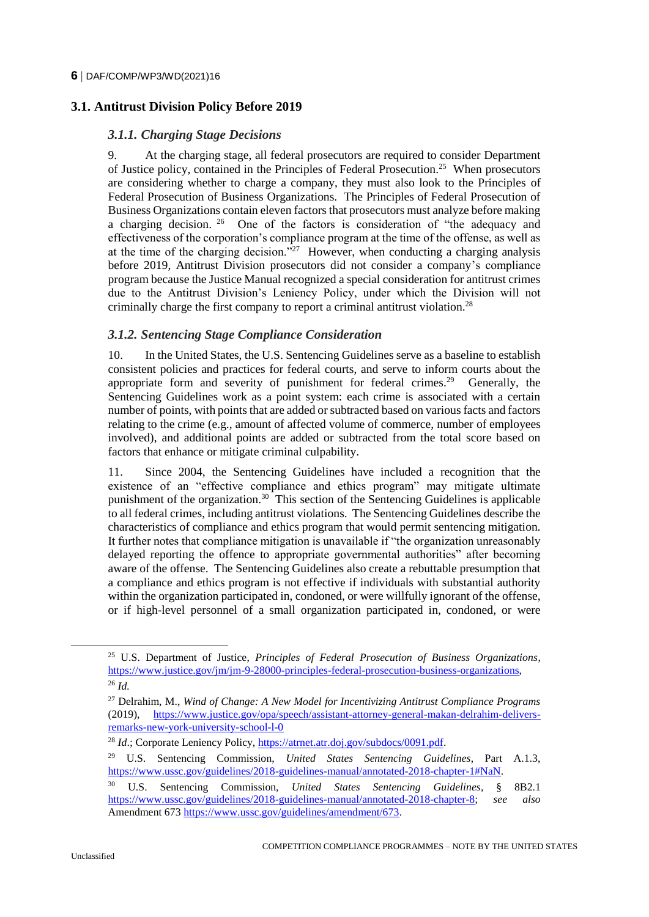# **3.1. Antitrust Division Policy Before 2019**

#### *3.1.1. Charging Stage Decisions*

9. At the charging stage, all federal prosecutors are required to consider Department of Justice policy, contained in the Principles of Federal Prosecution.<sup>25</sup> When prosecutors are considering whether to charge a company, they must also look to the Principles of Federal Prosecution of Business Organizations. The Principles of Federal Prosecution of Business Organizations contain eleven factors that prosecutors must analyze before making a charging decision. <sup>26</sup> One of the factors is consideration of "the adequacy and effectiveness of the corporation's compliance program at the time of the offense, as well as at the time of the charging decision."<sup>27</sup> However, when conducting a charging analysis before 2019, Antitrust Division prosecutors did not consider a company's compliance program because the Justice Manual recognized a special consideration for antitrust crimes due to the Antitrust Division's Leniency Policy, under which the Division will not criminally charge the first company to report a criminal antitrust violation.<sup>28</sup>

### *3.1.2. Sentencing Stage Compliance Consideration*

10. In the United States, the U.S. Sentencing Guidelines serve as a baseline to establish consistent policies and practices for federal courts, and serve to inform courts about the appropriate form and severity of punishment for federal crimes.<sup>29</sup> Generally, the Sentencing Guidelines work as a point system: each crime is associated with a certain number of points, with points that are added or subtracted based on various facts and factors relating to the crime (e.g., amount of affected volume of commerce, number of employees involved), and additional points are added or subtracted from the total score based on factors that enhance or mitigate criminal culpability.

<span id="page-5-0"></span>11. Since 2004, the Sentencing Guidelines have included a recognition that the existence of an "effective compliance and ethics program" may mitigate ultimate punishment of the organization.<sup>30</sup> This section of the Sentencing Guidelines is applicable to all federal crimes, including antitrust violations. The Sentencing Guidelines describe the characteristics of compliance and ethics program that would permit sentencing mitigation. It further notes that compliance mitigation is unavailable if "the organization unreasonably delayed reporting the offence to appropriate governmental authorities" after becoming aware of the offense. The Sentencing Guidelines also create a rebuttable presumption that a compliance and ethics program is not effective if individuals with substantial authority within the organization participated in, condoned, or were willfully ignorant of the offense, or if high-level personnel of a small organization participated in, condoned, or were

<sup>25</sup> U.S. Department of Justice, *Principles of Federal Prosecution of Business Organizations*, [https://www.justice.gov/jm/jm-9-28000-principles-federal-prosecution-business-organizations,](https://www.justice.gov/jm/jm-9-28000-principles-federal-prosecution-business-organizations)  <sup>26</sup> *Id.*

<sup>27</sup> Delrahim, M., *Wind of Change: A New Model for Incentivizing Antitrust Compliance Programs* (2019), [https://www.justice.gov/opa/speech/assistant-attorney-general-makan-delrahim-delivers](https://www.justice.gov/opa/speech/assistant-attorney-general-makan-delrahim-delivers-remarks-new-york-university-school-l-0)[remarks-new-york-university-school-l-0](https://www.justice.gov/opa/speech/assistant-attorney-general-makan-delrahim-delivers-remarks-new-york-university-school-l-0)

<sup>&</sup>lt;sup>28</sup> *Id*.; Corporate Leniency Policy, [https://atrnet.atr.doj.gov/subdocs/0091.pdf.](https://atrnet.atr.doj.gov/subdocs/0091.pdf)

<sup>29</sup> U.S. Sentencing Commission, *United States Sentencing Guidelines*, Part A.1.3, [https://www.ussc.gov/guidelines/2018-guidelines-manual/annotated-2018-chapter-1#NaN.](https://www.ussc.gov/guidelines/2018-guidelines-manual/annotated-2018-chapter-1#NaN)

<sup>30</sup> U.S. Sentencing Commission, *United States Sentencing Guidelines*, § 8B2.1 [https://www.ussc.gov/guidelines/2018-guidelines-manual/annotated-2018-chapter-8;](https://www.ussc.gov/guidelines/2018-guidelines-manual/annotated-2018-chapter-8) *see also* Amendment 673 https://www.ussc.gov/guidelines/amendment/673.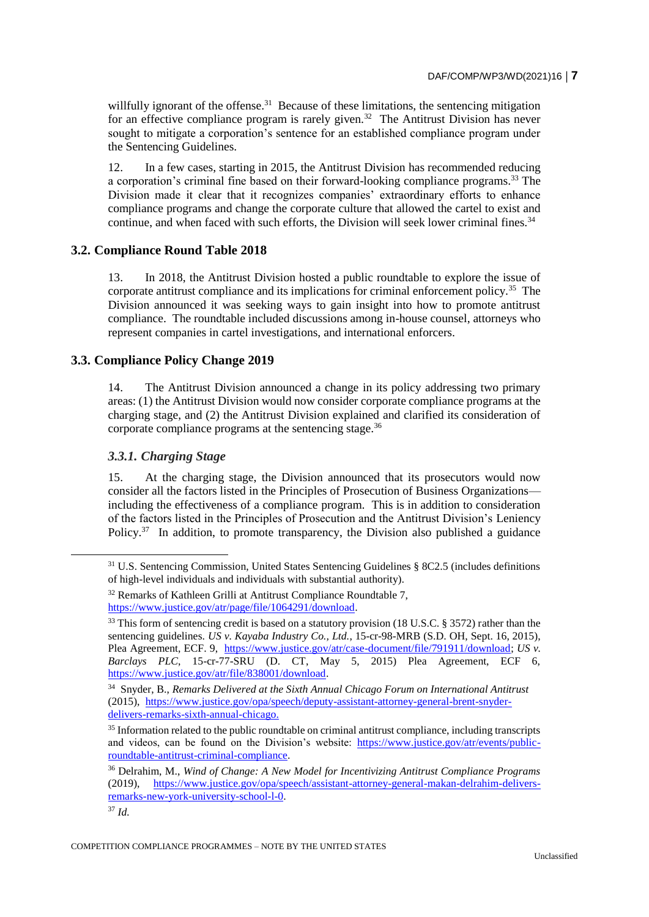<span id="page-6-0"></span>willfully ignorant of the offense.<sup>31</sup> Because of these limitations, the sentencing mitigation for an effective compliance program is rarely given.<sup>32</sup> The Antitrust Division has never sought to mitigate a corporation's sentence for an established compliance program under the Sentencing Guidelines.

<span id="page-6-2"></span><span id="page-6-1"></span>12. In a few cases, starting in 2015, the Antitrust Division has recommended reducing a corporation's criminal fine based on their forward-looking compliance programs.<sup>33</sup> The Division made it clear that it recognizes companies' extraordinary efforts to enhance compliance programs and change the corporate culture that allowed the cartel to exist and continue, and when faced with such efforts, the Division will seek lower criminal fines.<sup>34</sup>

### **3.2. Compliance Round Table 2018**

13. In 2018, the Antitrust Division hosted a public roundtable to explore the issue of corporate antitrust compliance and its implications for criminal enforcement policy.<sup>35</sup> The Division announced it was seeking ways to gain insight into how to promote antitrust compliance. The roundtable included discussions among in-house counsel, attorneys who represent companies in cartel investigations, and international enforcers.

# **3.3. Compliance Policy Change 2019**

14. The Antitrust Division announced a change in its policy addressing two primary areas: (1) the Antitrust Division would now consider corporate compliance programs at the charging stage, and (2) the Antitrust Division explained and clarified its consideration of corporate compliance programs at the sentencing stage.<sup>36</sup>

# *3.3.1. Charging Stage*

15. At the charging stage, the Division announced that its prosecutors would now consider all the factors listed in the Principles of Prosecution of Business Organizations including the effectiveness of a compliance program. This is in addition to consideration of the factors listed in the Principles of Prosecution and the Antitrust Division's Leniency Policy. $37$  In addition, to promote transparency, the Division also published a guidance

<sup>&</sup>lt;sup>31</sup> U.S. Sentencing Commission, United States Sentencing Guidelines § 8C2.5 (includes definitions of high-level individuals and individuals with substantial authority).

<sup>&</sup>lt;sup>32</sup> Remarks of Kathleen Grilli at Antitrust Compliance Roundtable 7, [https://www.justice.gov/atr/page/file/1064291/download.](https://www.justice.gov/atr/page/file/1064291/download)

<sup>&</sup>lt;sup>33</sup> This form of sentencing credit is based on a statutory provision (18 U.S.C. § 3572) rather than the sentencing guidelines. *US v. Kayaba Industry Co., Ltd.*, 15-cr-98-MRB (S.D. OH, Sept. 16, 2015), Plea Agreement, ECF. 9, [https://www.justice.gov/atr/case-document/file/791911/download;](https://www.justice.gov/atr/case-document/file/791911/download) *US v. Barclays PLC*, 15-cr-77-SRU (D. CT, May 5, 2015) Plea Agreement, ECF 6, [https://www.justice.gov/atr/file/838001/download.](https://www.justice.gov/atr/file/838001/download)

<sup>34</sup> Snyder, B., *Remarks Delivered at the Sixth Annual Chicago Forum on International Antitrust* (2015), [https://www.justice.gov/opa/speech/deputy-assistant-attorney-general-brent-snyder](https://www.justice.gov/opa/speech/deputy-assistant-attorney-general-brent-snyder-delivers-remarks-sixth-annual-chicago)[delivers-remarks-sixth-annual-chicago.](https://www.justice.gov/opa/speech/deputy-assistant-attorney-general-brent-snyder-delivers-remarks-sixth-annual-chicago)

<sup>&</sup>lt;sup>35</sup> Information related to the public roundtable on criminal antitrust compliance, including transcripts and videos, can be found on the Division's website: [https://www.justice.gov/atr/events/public](https://www.justice.gov/atr/events/public-roundtable-antitrust-criminal-compliance)[roundtable-antitrust-criminal-compliance.](https://www.justice.gov/atr/events/public-roundtable-antitrust-criminal-compliance)

<sup>36</sup> Delrahim, M., *Wind of Change: A New Model for Incentivizing Antitrust Compliance Programs* (2019), [https://www.justice.gov/opa/speech/assistant-attorney-general-makan-delrahim-delivers](https://www.justice.gov/opa/speech/assistant-attorney-general-makan-delrahim-delivers-remarks-new-york-university-school-l-0)[remarks-new-york-university-school-l-0.](https://www.justice.gov/opa/speech/assistant-attorney-general-makan-delrahim-delivers-remarks-new-york-university-school-l-0)

<sup>37</sup> *Id.*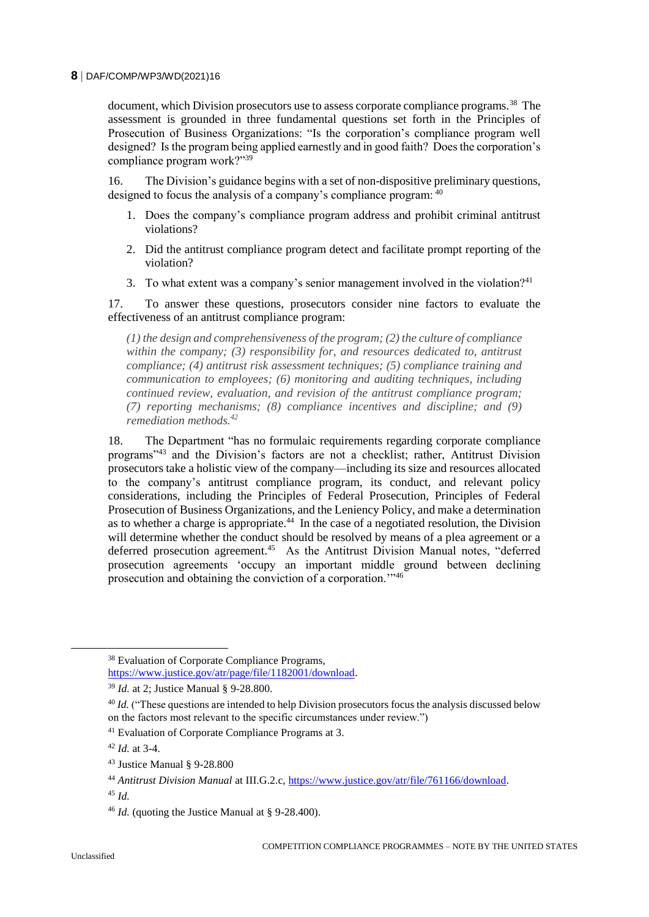document, which Division prosecutors use to assess corporate compliance programs.<sup>38</sup> The assessment is grounded in three fundamental questions set forth in the Principles of Prosecution of Business Organizations: "Is the corporation's compliance program well designed? Is the program being applied earnestly and in good faith? Does the corporation's compliance program work?"<sup>39</sup>

16. The Division's guidance begins with a set of non-dispositive preliminary questions, designed to focus the analysis of a company's compliance program: <sup>40</sup>

- 1. Does the company's compliance program address and prohibit criminal antitrust violations?
- 2. Did the antitrust compliance program detect and facilitate prompt reporting of the violation?
- 3. To what extent was a company's senior management involved in the violation?<sup>41</sup>

17. To answer these questions, prosecutors consider nine factors to evaluate the effectiveness of an antitrust compliance program:

*(1) the design and comprehensiveness of the program; (2) the culture of compliance within the company; (3) responsibility for, and resources dedicated to, antitrust compliance; (4) antitrust risk assessment techniques; (5) compliance training and communication to employees; (6) monitoring and auditing techniques, including continued review, evaluation, and revision of the antitrust compliance program; (7) reporting mechanisms; (8) compliance incentives and discipline; and (9) remediation methods.<sup>42</sup>*

18. The Department "has no formulaic requirements regarding corporate compliance programs"<sup>43</sup> and the Division's factors are not a checklist; rather, Antitrust Division prosecutors take a holistic view of the company—including its size and resources allocated to the company's antitrust compliance program, its conduct, and relevant policy considerations, including the Principles of Federal Prosecution, Principles of Federal Prosecution of Business Organizations, and the Leniency Policy, and make a determination as to whether a charge is appropriate. $44$  In the case of a negotiated resolution, the Division will determine whether the conduct should be resolved by means of a plea agreement or a deferred prosecution agreement.<sup>45</sup> As the Antitrust Division Manual notes, "deferred prosecution agreements 'occupy an important middle ground between declining prosecution and obtaining the conviction of a corporation."<sup>46</sup>

<sup>38</sup> Evaluation of Corporate Compliance Programs, [https://www.justice.gov/atr/page/file/1182001/download.](https://www.justice.gov/atr/page/file/1182001/download)

<sup>39</sup> *Id.* at 2; Justice Manual § 9-28.800.

<sup>&</sup>lt;sup>40</sup> *Id.* ("These questions are intended to help Division prosecutors focus the analysis discussed below on the factors most relevant to the specific circumstances under review.")

<sup>41</sup> Evaluation of Corporate Compliance Programs at 3.

<sup>42</sup> *Id.* at 3-4.

<sup>43</sup> Justice Manual § 9-28.800

<sup>44</sup> *Antitrust Division Manual* at III.G.2.c[, https://www.justice.gov/atr/file/761166/download.](https://www.justice.gov/atr/file/761166/download)

<sup>45</sup> *Id.*

<sup>46</sup> *Id.* (quoting the Justice Manual at § 9-28.400).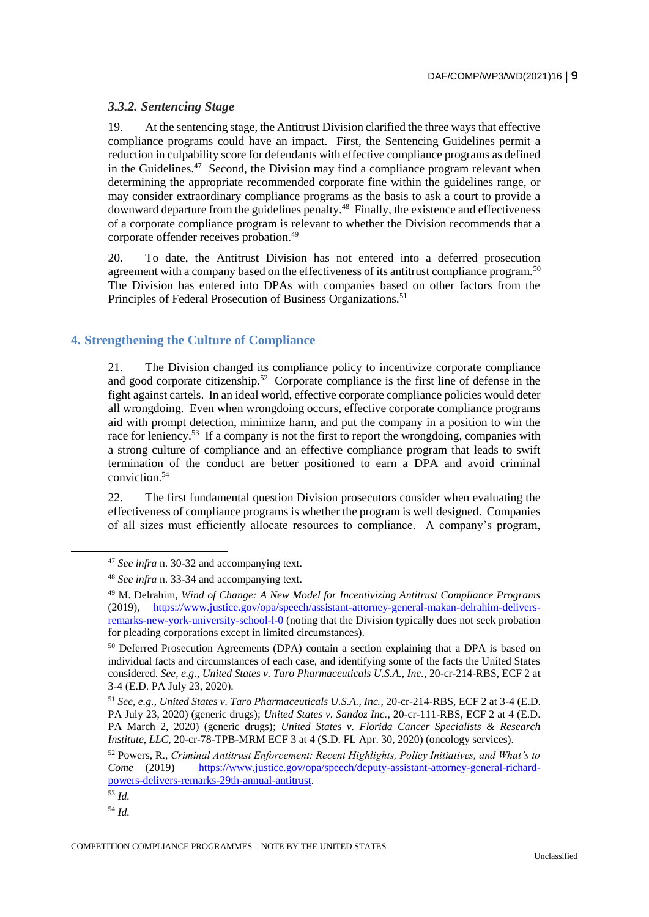# *3.3.2. Sentencing Stage*

19. At the sentencing stage, the Antitrust Division clarified the three ways that effective compliance programs could have an impact. First, the Sentencing Guidelines permit a reduction in culpability score for defendants with effective compliance programs as defined in the Guidelines.<sup>47</sup> Second, the Division may find a compliance program relevant when determining the appropriate recommended corporate fine within the guidelines range, or may consider extraordinary compliance programs as the basis to ask a court to provide a downward departure from the guidelines penalty.<sup>48</sup> Finally, the existence and effectiveness of a corporate compliance program is relevant to whether the Division recommends that a corporate offender receives probation.<sup>49</sup>

20. To date, the Antitrust Division has not entered into a deferred prosecution agreement with a company based on the effectiveness of its antitrust compliance program.<sup>50</sup> The Division has entered into DPAs with companies based on other factors from the Principles of Federal Prosecution of Business Organizations.<sup>51</sup>

# **4. Strengthening the Culture of Compliance**

21. The Division changed its compliance policy to incentivize corporate compliance and good corporate citizenship.<sup>52</sup> Corporate compliance is the first line of defense in the fight against cartels. In an ideal world, effective corporate compliance policies would deter all wrongdoing. Even when wrongdoing occurs, effective corporate compliance programs aid with prompt detection, minimize harm, and put the company in a position to win the race for leniency.<sup>53</sup> If a company is not the first to report the wrongdoing, companies with a strong culture of compliance and an effective compliance program that leads to swift termination of the conduct are better positioned to earn a DPA and avoid criminal conviction.<sup>54</sup>

22. The first fundamental question Division prosecutors consider when evaluating the effectiveness of compliance programs is whether the program is well designed. Companies of all sizes must efficiently allocate resources to compliance. A company's program,

<sup>47</sup> *See infra* n. [30-](#page-5-0)[32](#page-6-0) and accompanying text.

<sup>48</sup> *See infra* n. [33-](#page-6-1)[34](#page-6-2) and accompanying text.

<sup>49</sup> M. Delrahim, *Wind of Change: A New Model for Incentivizing Antitrust Compliance Programs* (2019), [https://www.justice.gov/opa/speech/assistant-attorney-general-makan-delrahim-delivers](https://www.justice.gov/opa/speech/assistant-attorney-general-makan-delrahim-delivers-remarks-new-york-university-school-l-0)[remarks-new-york-university-school-l-0](https://www.justice.gov/opa/speech/assistant-attorney-general-makan-delrahim-delivers-remarks-new-york-university-school-l-0) (noting that the Division typically does not seek probation for pleading corporations except in limited circumstances).

<sup>&</sup>lt;sup>50</sup> Deferred Prosecution Agreements (DPA) contain a section explaining that a DPA is based on individual facts and circumstances of each case, and identifying some of the facts the United States considered. *See, e.g.*, *United States v. Taro Pharmaceuticals U.S.A., Inc.*, 20-cr-214-RBS, ECF 2 at 3-4 (E.D. PA July 23, 2020).

<sup>51</sup> *See, e.g.*, *United States v. Taro Pharmaceuticals U.S.A., Inc.*, 20-cr-214-RBS, ECF 2 at 3-4 (E.D. PA July 23, 2020) (generic drugs); *United States v. Sandoz Inc.*, 20-cr-111-RBS, ECF 2 at 4 (E.D. PA March 2, 2020) (generic drugs); *United States v. Florida Cancer Specialists & Research Institute, LLC*, 20-cr-78-TPB-MRM ECF 3 at 4 (S.D. FL Apr. 30, 2020) (oncology services).

<sup>52</sup> Powers, R., *Criminal Antitrust Enforcement: Recent Highlights, Policy Initiatives, and What's to Come* (2019) [https://www.justice.gov/opa/speech/deputy-assistant-attorney-general-richard](https://www.justice.gov/opa/speech/deputy-assistant-attorney-general-richard-powers-delivers-remarks-29th-annual-antitrust)[powers-delivers-remarks-29th-annual-antitrust.](https://www.justice.gov/opa/speech/deputy-assistant-attorney-general-richard-powers-delivers-remarks-29th-annual-antitrust)

<sup>53</sup> *Id.*

<sup>54</sup> *Id.*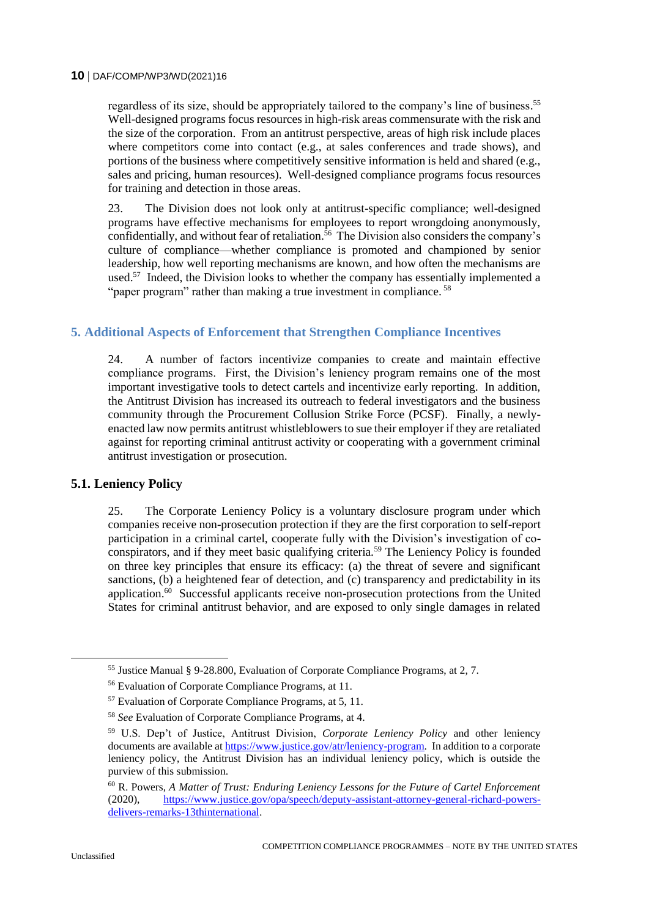regardless of its size, should be appropriately tailored to the company's line of business.<sup>55</sup> Well-designed programs focus resources in high-risk areas commensurate with the risk and the size of the corporation. From an antitrust perspective, areas of high risk include places where competitors come into contact (e.g., at sales conferences and trade shows), and portions of the business where competitively sensitive information is held and shared (e.g., sales and pricing, human resources). Well-designed compliance programs focus resources for training and detection in those areas.

23. The Division does not look only at antitrust-specific compliance; well-designed programs have effective mechanisms for employees to report wrongdoing anonymously, confidentially, and without fear of retaliation.<sup>56</sup> The Division also considers the company's culture of compliance—whether compliance is promoted and championed by senior leadership, how well reporting mechanisms are known, and how often the mechanisms are used.<sup>57</sup> Indeed, the Division looks to whether the company has essentially implemented a "paper program" rather than making a true investment in compliance.<sup>58</sup>

# **5. Additional Aspects of Enforcement that Strengthen Compliance Incentives**

24. A number of factors incentivize companies to create and maintain effective compliance programs. First, the Division's leniency program remains one of the most important investigative tools to detect cartels and incentivize early reporting. In addition, the Antitrust Division has increased its outreach to federal investigators and the business community through the Procurement Collusion Strike Force (PCSF). Finally, a newlyenacted law now permits antitrust whistleblowers to sue their employer if they are retaliated against for reporting criminal antitrust activity or cooperating with a government criminal antitrust investigation or prosecution.

#### **5.1. Leniency Policy**

25. The Corporate Leniency Policy is a voluntary disclosure program under which companies receive non-prosecution protection if they are the first corporation to self-report participation in a criminal cartel, cooperate fully with the Division's investigation of coconspirators, and if they meet basic qualifying criteria.<sup>59</sup> The Leniency Policy is founded on three key principles that ensure its efficacy: (a) the threat of severe and significant sanctions, (b) a heightened fear of detection, and (c) transparency and predictability in its application.<sup>60</sup> Successful applicants receive non-prosecution protections from the United States for criminal antitrust behavior, and are exposed to only single damages in related

<sup>55</sup> Justice Manual § 9-28.800, Evaluation of Corporate Compliance Programs, at 2, 7.

<sup>56</sup> Evaluation of Corporate Compliance Programs, at 11.

<sup>57</sup> Evaluation of Corporate Compliance Programs, at 5, 11.

<sup>58</sup> *See* Evaluation of Corporate Compliance Programs, at 4.

<sup>59</sup> U.S. Dep't of Justice, Antitrust Division, *Corporate Leniency Policy* and other leniency documents are available a[t https://www.justice.gov/atr/leniency-program.](https://www.justice.gov/atr/leniency-program) In addition to a corporate leniency policy, the Antitrust Division has an individual leniency policy, which is outside the purview of this submission.

<sup>60</sup> R. Powers, *A Matter of Trust: Enduring Leniency Lessons for the Future of Cartel Enforcement* (2020), [https://www.justice.gov/opa/speech/deputy-assistant-attorney-general-richard-powers](https://www.justice.gov/opa/speech/deputy-assistant-attorney-general-richard-powers-delivers-remarks-13thinternational)[delivers-remarks-13thinternational.](https://www.justice.gov/opa/speech/deputy-assistant-attorney-general-richard-powers-delivers-remarks-13thinternational)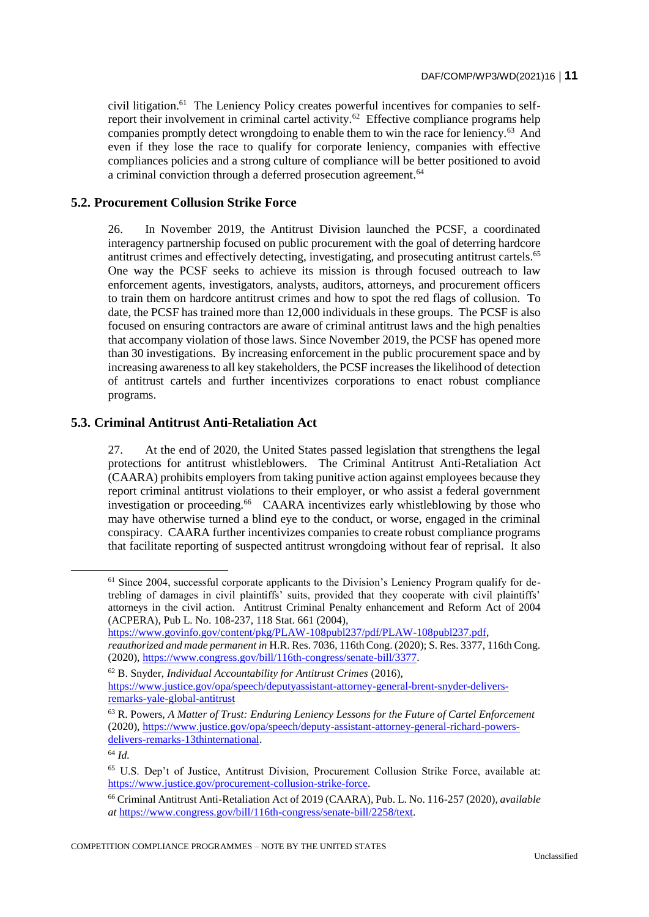civil litigation.<sup>61</sup> The Leniency Policy creates powerful incentives for companies to selfreport their involvement in criminal cartel activity.<sup>62</sup> Effective compliance programs help companies promptly detect wrongdoing to enable them to win the race for leniency.<sup>63</sup> And even if they lose the race to qualify for corporate leniency, companies with effective compliances policies and a strong culture of compliance will be better positioned to avoid a criminal conviction through a deferred prosecution agreement.<sup>64</sup>

### **5.2. Procurement Collusion Strike Force**

26. In November 2019, the Antitrust Division launched the PCSF, a coordinated interagency partnership focused on public procurement with the goal of deterring hardcore antitrust crimes and effectively detecting, investigating, and prosecuting antitrust cartels.<sup>65</sup> One way the PCSF seeks to achieve its mission is through focused outreach to law enforcement agents, investigators, analysts, auditors, attorneys, and procurement officers to train them on hardcore antitrust crimes and how to spot the red flags of collusion. To date, the PCSF has trained more than 12,000 individuals in these groups. The PCSF is also focused on ensuring contractors are aware of criminal antitrust laws and the high penalties that accompany violation of those laws. Since November 2019, the PCSF has opened more than 30 investigations. By increasing enforcement in the public procurement space and by increasing awareness to all key stakeholders, the PCSF increases the likelihood of detection of antitrust cartels and further incentivizes corporations to enact robust compliance programs.

# **5.3. Criminal Antitrust Anti-Retaliation Act**

27. At the end of 2020, the United States passed legislation that strengthens the legal protections for antitrust whistleblowers. The Criminal Antitrust Anti-Retaliation Act (CAARA) prohibits employers from taking punitive action against employees because they report criminal antitrust violations to their employer, or who assist a federal government investigation or proceeding.<sup>66</sup> CAARA incentivizes early whistleblowing by those who may have otherwise turned a blind eye to the conduct, or worse, engaged in the criminal conspiracy. CAARA further incentivizes companies to create robust compliance programs that facilitate reporting of suspected antitrust wrongdoing without fear of reprisal. It also

[https://www.govinfo.gov/content/pkg/PLAW-108publ237/pdf/PLAW-108publ237.pdf,](https://www.govinfo.gov/content/pkg/PLAW-108publ237/pdf/PLAW-108publ237.pdf) *reauthorized and made permanent in* H.R. Res. 7036, 116th Cong. (2020); S. Res. 3377, 116th Cong. (2020), [https://www.congress.gov/bill/116th-congress/senate-bill/3377.](https://www.congress.gov/bill/116th-congress/senate-bill/3377)

<sup>&</sup>lt;sup>61</sup> Since 2004, successful corporate applicants to the Division's Leniency Program qualify for detrebling of damages in civil plaintiffs' suits, provided that they cooperate with civil plaintiffs' attorneys in the civil action. Antitrust Criminal Penalty enhancement and Reform Act of 2004 (ACPERA), Pub L. No. 108-237, 118 Stat. 661 (2004),

<sup>62</sup> B. Snyder, *Individual Accountability for Antitrust Crimes* (2016), [https://www.justice.gov/opa/speech/deputyassistant-attorney-general-brent-snyder-delivers](https://www.justice.gov/opa/speech/deputyassistant-attorney-general-brent-snyder-delivers-remarks-yale-global-antitrust)[remarks-yale-global-antitrust](https://www.justice.gov/opa/speech/deputyassistant-attorney-general-brent-snyder-delivers-remarks-yale-global-antitrust)

<sup>63</sup> R. Powers, *A Matter of Trust: Enduring Leniency Lessons for the Future of Cartel Enforcement* (2020), [https://www.justice.gov/opa/speech/deputy-assistant-attorney-general-richard-powers](https://www.justice.gov/opa/speech/deputy-assistant-attorney-general-richard-powers-delivers-remarks-13thinternational)[delivers-remarks-13thinternational.](https://www.justice.gov/opa/speech/deputy-assistant-attorney-general-richard-powers-delivers-remarks-13thinternational)

<sup>64</sup> *Id.*

<sup>65</sup> U.S. Dep't of Justice, Antitrust Division, Procurement Collusion Strike Force, available at: [https://www.justice.gov/procurement-collusion-strike-force.](https://www.justice.gov/procurement-collusion-strike-force)

<sup>66</sup> Criminal Antitrust Anti-Retaliation Act of 2019 (CAARA), Pub. L. No. 116-257 (2020), *available at* [https://www.congress.gov/bill/116th-congress/senate-bill/2258/text.](https://www.congress.gov/bill/116th-congress/senate-bill/2258/text)